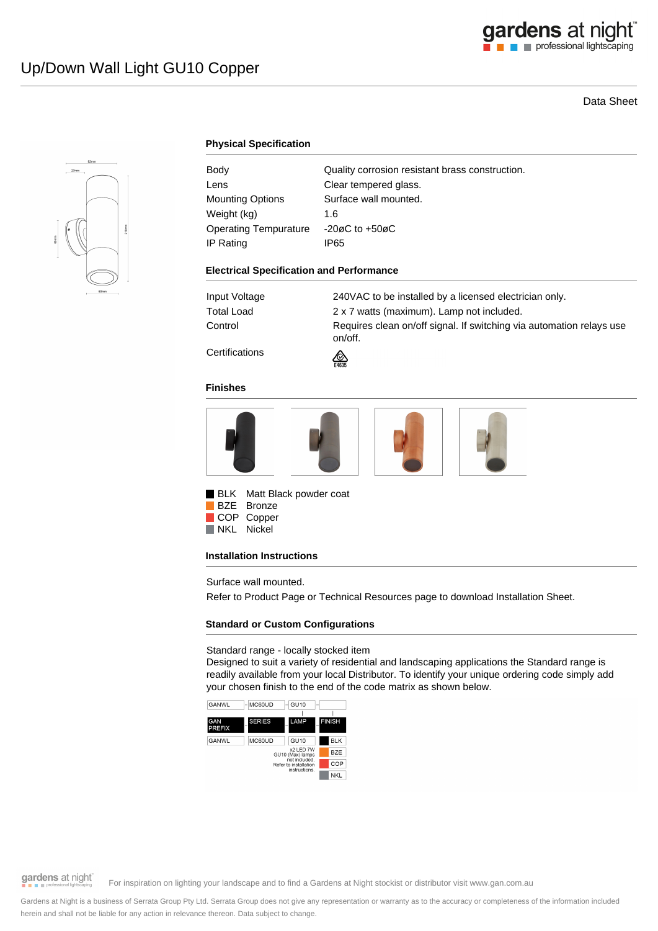# Data Sheet



# **Physical Specification**

| Body                         | Quality corrosion resistant brass construction. |
|------------------------------|-------------------------------------------------|
| Lens                         | Clear tempered glass.                           |
| <b>Mounting Options</b>      | Surface wall mounted.                           |
| Weight (kg)                  | 1.6                                             |
| <b>Operating Tempurature</b> | $-20\varnothing$ C to $+50\varnothing$ C        |
| IP Rating                    | IP65                                            |
|                              |                                                 |

#### **Electrical Specification and Performance**

Input Voltage 240VAC to be installed by a licensed electrician only. Total Load 2 x 7 watts (maximum). Lamp not included. Control **Requires clean on/off signal. If switching via automation relays use** on/off.

**Certifications** 



#### **Finishes**



**BLK** Matt Black powder coat BZE Bronze

COP Copper NKL Nickel

#### **Installation Instructions**

Surface wall mounted.

Refer to Product Page or Technical Resources page to download Installation Sheet.

### **Standard or Custom Configurations**

### Standard range - locally stocked item

Designed to suit a variety of residential and landscaping applications the Standard range is readily available from your local Distributor. To identify your unique ordering code simply add your chosen finish to the end of the code matrix as shown below.



gardens at night

For inspiration on lighting your landscape and to find a Gardens at Night stockist or distributor visit www.gan.com.au

Gardens at Night is a business of Serrata Group Pty Ltd. Serrata Group does not give any representation or warranty as to the accuracy or completeness of the information included herein and shall not be liable for any action in relevance thereon. Data subject to change.